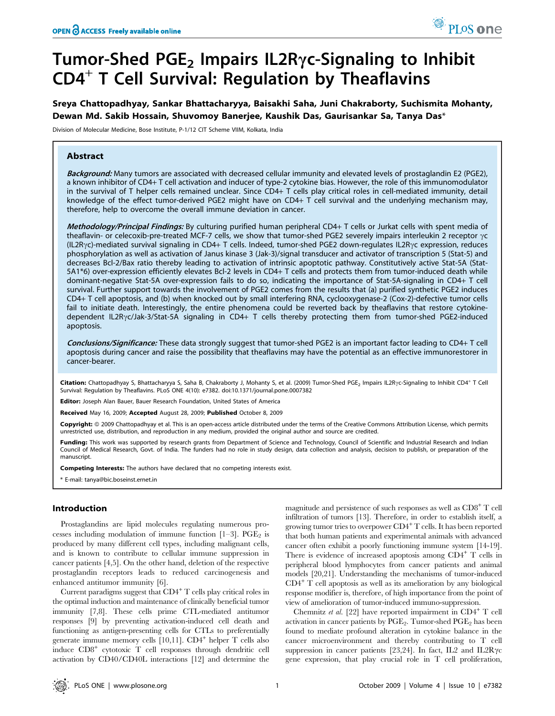# Tumor-Shed  $PGE<sub>2</sub>$  Impairs IL2R $\gamma$ c-Signaling to Inhibit CD4<sup>+</sup> T Cell Survival: Regulation by Theaflavins

Sreya Chattopadhyay, Sankar Bhattacharyya, Baisakhi Saha, Juni Chakraborty, Suchismita Mohanty, Dewan Md. Sakib Hossain, Shuvomoy Banerjee, Kaushik Das, Gaurisankar Sa, Tanya Das\*

Division of Molecular Medicine, Bose Institute, P-1/12 CIT Scheme VIIM, Kolkata, India

## Abstract

Background: Many tumors are associated with decreased cellular immunity and elevated levels of prostaglandin E2 (PGE2), a known inhibitor of CD4+ T cell activation and inducer of type-2 cytokine bias. However, the role of this immunomodulator in the survival of T helper cells remained unclear. Since CD4+ T cells play critical roles in cell-mediated immunity, detail knowledge of the effect tumor-derived PGE2 might have on CD4+ T cell survival and the underlying mechanism may, therefore, help to overcome the overall immune deviation in cancer.

Methodology/Principal Findings: By culturing purified human peripheral CD4+ T cells or Jurkat cells with spent media of theaflavin- or celecoxib-pre-treated MCF-7 cells, we show that tumor-shed PGE2 severely impairs interleukin 2 receptor  $\gamma c$  $(IL2Ryc)$ -mediated survival signaling in CD4+ T cells. Indeed, tumor-shed PGE2 down-regulates IL2R $\gamma$ c expression, reduces phosphorylation as well as activation of Janus kinase 3 (Jak-3)/signal transducer and activator of transcription 5 (Stat-5) and decreases Bcl-2/Bax ratio thereby leading to activation of intrinsic apoptotic pathway. Constitutively active Stat-5A (Stat-5A1\*6) over-expression efficiently elevates Bcl-2 levels in CD4+ T cells and protects them from tumor-induced death while dominant-negative Stat-5A over-expression fails to do so, indicating the importance of Stat-5A-signaling in CD4+ T cell survival. Further support towards the involvement of PGE2 comes from the results that (a) purified synthetic PGE2 induces CD4+ T cell apoptosis, and (b) when knocked out by small interfering RNA, cyclooxygenase-2 (Cox-2)-defective tumor cells fail to initiate death. Interestingly, the entire phenomena could be reverted back by theaflavins that restore cytokinedependent IL2Ryc/Jak-3/Stat-5A signaling in CD4+ T cells thereby protecting them from tumor-shed PGE2-induced apoptosis.

Conclusions/Significance: These data strongly suggest that tumor-shed PGE2 is an important factor leading to CD4+ T cell apoptosis during cancer and raise the possibility that theaflavins may have the potential as an effective immunorestorer in cancer-bearer.

Citation: Chattopadhyay S, Bhattacharyya S, Saha B, Chakraborty J, Mohanty S, et al. (2009) Tumor-Shed PGE<sub>2</sub> Impairs IL2R<sub>Y</sub>c-Signaling to Inhibit CD4<sup>+</sup> T Cell Survival: Regulation by Theaflavins. PLoS ONE 4(10): e7382. doi:10.1371/journal.pone.0007382

Editor: Joseph Alan Bauer, Bauer Research Foundation, United States of America

Received May 16, 2009; Accepted August 28, 2009; Published October 8, 2009

Copyright: @ 2009 Chattopadhyay et al. This is an open-access article distributed under the terms of the Creative Commons Attribution License, which permits unrestricted use, distribution, and reproduction in any medium, provided the original author and source are credited.

Funding: This work was supported by research grants from Department of Science and Technology, Council of Scientific and Industrial Research and Indian Council of Medical Research, Govt. of India. The funders had no role in study design, data collection and analysis, decision to publish, or preparation of the manuscript.

Competing Interests: The authors have declared that no competing interests exist.

\* E-mail: tanya@bic.boseinst.ernet.in

## Introduction

Prostaglandins are lipid molecules regulating numerous processes including modulation of immune function  $[1-3]$ . PGE<sub>2</sub> is produced by many different cell types, including malignant cells, and is known to contribute to cellular immune suppression in cancer patients [4,5]. On the other hand, deletion of the respective prostaglandin receptors leads to reduced carcinogenesis and enhanced antitumor immunity [6].

Current paradigms suggest that CD4<sup>+</sup> T cells play critical roles in the optimal induction and maintenance of clinically beneficial tumor immunity [7,8]. These cells prime CTL-mediated antitumor responses [9] by preventing activation-induced cell death and functioning as antigen-presenting cells for CTLs to preferentially generate immune memory cells [10,11]. CD4<sup>+</sup> helper T cells also induce CD8<sup>+</sup> cytotoxic T cell responses through dendritic cell activation by CD40/CD40L interactions [12] and determine the

magnitude and persistence of such responses as well as CD8<sup>+</sup> T cell infiltration of tumors [13]. Therefore, in order to establish itself, a growing tumor tries to overpower  $CD4^+$  T cells. It has been reported that both human patients and experimental animals with advanced cancer often exhibit a poorly functioning immune system [14-19]. There is evidence of increased apoptosis among CD4<sup>+</sup> T cells in peripheral blood lymphocytes from cancer patients and animal models [20,21]. Understanding the mechanisms of tumor-induced  $CD4^+$  T cell apoptosis as well as its amelioration by any biological response modifier is, therefore, of high importance from the point of view of amelioration of tumor-induced immuno-suppression.

Chemnitz et al. [22] have reported impairment in  $CD4^+$  T cell activation in cancer patients by  $PGE_2$ . Tumor-shed  $PGE_2$  has been found to mediate profound alteration in cytokine balance in the cancer microenvironment and thereby contributing to T cell suppression in cancer patients [23,24]. In fact, IL2 and IL2R $\gamma$ c gene expression, that play crucial role in T cell proliferation,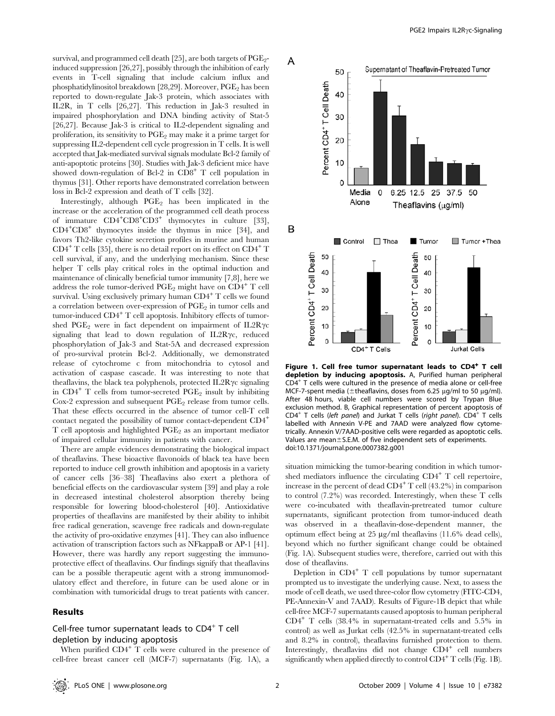survival, and programmed cell death [25], are both targets of  $PGE<sub>2</sub>$ induced suppression [26,27], possibly through the inhibition of early events in T-cell signaling that include calcium influx and phosphatidylinositol breakdown [28,29]. Moreover, PGE<sub>2</sub> has been reported to down-regulate Jak-3 protein, which associates with IL2R, in T cells [26,27]. This reduction in Jak-3 resulted in impaired phosphorylation and DNA binding activity of Stat-5 [26,27]. Because Jak-3 is critical to IL2-dependent signaling and proliferation, its sensitivity to  $PGE_2$  may make it a prime target for suppressing IL2-dependent cell cycle progression in T cells. It is well accepted that Jak-mediated survival signals modulate Bcl-2 family of anti-apoptotic proteins [30]. Studies with Jak-3 deficient mice have showed down-regulation of Bcl-2 in CD8<sup>+</sup> T cell population in thymus [31]. Other reports have demonstrated correlation between loss in Bcl-2 expression and death of T cells [32].

Interestingly, although PGE<sub>2</sub> has been implicated in the increase or the acceleration of the programmed cell death process of immature  $CD4+CD8+CD3+$  thymocytes in culture [33], CD4+CD8<sup>+</sup> thymocytes inside the thymus in mice [34], and favors Th2-like cytokine secretion profiles in murine and human  $CD4^+$  T cells [35], there is no detail report on its effect on  $CD4^+$  T cell survival, if any, and the underlying mechanism. Since these helper T cells play critical roles in the optimal induction and maintenance of clinically beneficial tumor immunity [7,8], here we address the role tumor-derived  $PGE_2$  might have on  $CD4^+$  T cell survival. Using exclusively primary human  $CD4^+$  T cells we found a correlation between over-expression of PGE<sup>2</sup> in tumor cells and tumor-induced CD4<sup>+</sup> T cell apoptosis. Inhibitory effects of tumorshed PGE<sub>2</sub> were in fact dependent on impairment of IL2R $\gamma$ c signaling that lead to down regulation of  $IL2R\gamma c$ , reduced phosphorylation of Jak-3 and Stat-5A and decreased expression of pro-survival protein Bcl-2. Additionally, we demonstrated release of cytochrome c from mitochondria to cytosol and activation of caspase cascade. It was interesting to note that theaflavins, the black tea polyphenols, protected  $IL2R\gamma c$  signaling in  $CD4^+$  T cells from tumor-secreted PGE<sub>2</sub> insult by inhibiting Cox-2 expression and subsequent PGE<sub>2</sub> release from tumor cells. That these effects occurred in the absence of tumor cell-T cell contact negated the possibility of tumor contact-dependent CD4<sup>+</sup>  $T$  cell apoptosis and highlighted  $PGE<sub>2</sub>$  as an important mediator of impaired cellular immunity in patients with cancer.

There are ample evidences demonstrating the biological impact of theaflavins. These bioactive flavonoids of black tea have been reported to induce cell growth inhibition and apoptosis in a variety of cancer cells [36–38] Theaflavins also exert a plethora of beneficial effects on the cardiovascular system [39] and play a role in decreased intestinal cholesterol absorption thereby being responsible for lowering blood-cholesterol [40]. Antioxidative properties of theaflavins are manifested by their ability to inhibit free radical generation, scavenge free radicals and down-regulate the activity of pro-oxidative enzymes [41]. They can also influence activation of transcription factors such as NFkappaB or AP-1 [41]. However, there was hardly any report suggesting the immunoprotective effect of theaflavins. Our findings signify that theaflavins can be a possible therapeutic agent with a strong immunomodulatory effect and therefore, in future can be used alone or in combination with tumoricidal drugs to treat patients with cancer.

## Results

## Cell-free tumor supernatant leads to CD4<sup>+</sup> T cell depletion by inducing apoptosis

When purified  $CD4^+$  T cells were cultured in the presence of cell-free breast cancer cell (MCF-7) supernatants (Fig. 1A), a



Figure 1. Cell free tumor supernatant leads to CD4<sup>+</sup> T cell depletion by inducing apoptosis. A, Purified human peripheral CD4<sup>+</sup> T cells were cultured in the presence of media alone or cell-free MCF-7-spent media ( $\pm$ theaflavins, doses from 6.25 µg/ml to 50 µg/ml). After 48 hours, viable cell numbers were scored by Trypan Blue exclusion method. B, Graphical representation of percent apoptosis of CD4<sup>+</sup> T cells (left panel) and Jurkat T cells (right panel). CD4<sup>+</sup> T cells labelled with Annexin V-PE and 7AAD were analyzed flow cytometrically. Annexin V/7AAD-positive cells were regarded as apoptotic cells. Values are mean $\pm$ S.E.M. of five independent sets of experiments. doi:10.1371/journal.pone.0007382.g001

situation mimicking the tumor-bearing condition in which tumorshed mediators influence the circulating CD4<sup>+</sup> T cell repertoire, increase in the percent of dead  $CD4^+$  T cell (43.2%) in comparison to control (7.2%) was recorded. Interestingly, when these T cells were co-incubated with theaflavin-pretreated tumor culture supernatants, significant protection from tumor-induced death was observed in a theaflavin-dose-dependent manner, the optimum effect being at  $25 \mu g/ml$  theaflavins (11.6% dead cells), beyond which no further significant change could be obtained (Fig. 1A). Subsequent studies were, therefore, carried out with this dose of theaflavins.

Depletion in  $CD4^+$  T cell populations by tumor supernatant prompted us to investigate the underlying cause. Next, to assess the mode of cell death, we used three-color flow cytometry (FITC-CD4, PE-Annexin-V and 7AAD). Results of Figure-1B depict that while cell-free MCF-7 supernatants caused apoptosis to human peripheral CD4<sup>+</sup> T cells (38.4% in supernatant-treated cells and 5.5% in control) as well as Jurkat cells (42.5% in supernatant-treated cells and 8.2% in control), theaflavins furnished protection to them. Interestingly, theaflavins did not change CD4<sup>+</sup> cell numbers significantly when applied directly to control  $CD4^+$  T cells (Fig. 1B).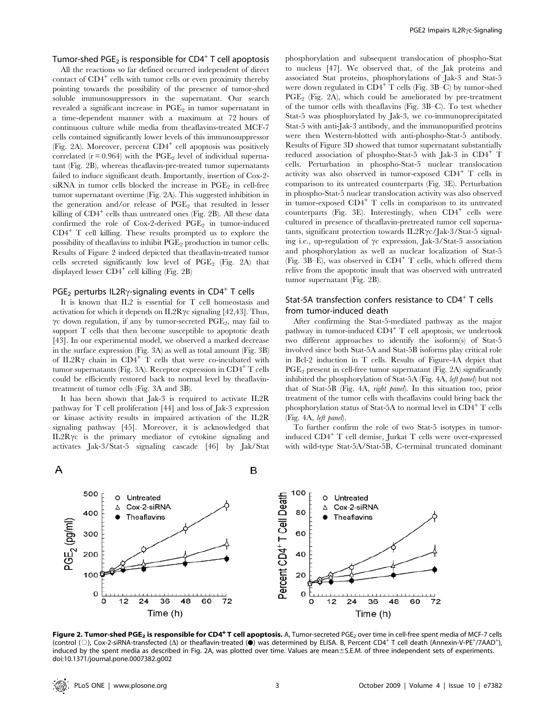# Tumor-shed PGE<sub>2</sub> is responsible for CD4<sup>+</sup> T cell apoptosis

All the reactions so far defined occurred independent of direct contact of CD4<sup>+</sup> cells with tumor cells or even proximity thereby pointing towards the possibility of the presence of tumor-shed soluble immunosuppressors in the supernatant. Our search revealed a significant increase in PGE<sub>2</sub> in tumor supernatant in a time-dependent manner with a maximum at 72 hours of continuous culture while media from theaflavins-treated MCF-7 cells contained significantly lower levels of this immunosuppressor (Fig. 2A). Moreover, percent CD4<sup>+</sup> cell apoptosis was positively correlated ( $r = 0.964$ ) with the PGE<sub>2</sub> level of individual supernatant (Fig. 2B), whereas theaflavin-pre-treated tumor supernatants failed to induce significant death. Importantly, insertion of Cox-2 siRNA in tumor cells blocked the increase in  $PGE<sub>2</sub>$  in cell-free tumor supernatant overtime (Fig. 2A). This suggested inhibition in the generation and/or release of  $PGE_2$  that resulted in lesser killing of CD4<sup>+</sup> cells than untreated ones (Fig. 2B). All these data confirmed the role of Cox-2-derived  $PGE_2$  in tumor-induced CD4<sup>+</sup> T cell killing. These results prompted us to explore the possibility of theaflavins to inhibit PGE<sub>2</sub> production in tumor cells. Results of Figure 2 indeed depicted that theaflavin-treated tumor cells secreted significantly low level of  $PGE_2$  (Fig. 2A) that displayed lesser CD4<sup>+</sup> cell killing (Fig. 2B)

# PGE<sub>2</sub> perturbs IL2R $\gamma$ -signaling events in CD4<sup>+</sup> T cells

It is known that IL2 is essential for T cell homeostasis and activation for which it depends on  $IL2R\gamma c$  signaling [42,43]. Thus,  $\gamma$ c down regulation, if any by tumor-secreted PGE<sub>2</sub>, may fail to support T cells that then become susceptible to apoptotic death [43]. In our experimental model, we observed a marked decrease in the surface expression (Fig. 3A) as well as total amount (Fig. 3B) of IL2R $\gamma$  chain in CD4<sup>+</sup> T cells that were co-incubated with tumor supernatants (Fig. 3A). Receptor expression in  $CD4^+$  T cells could be efficiently restored back to normal level by theaflavintreatment of tumor cells (Fig. 3A and 3B).

It has been shown that Jak-3 is required to activate IL2R pathway for T cell proliferation [44] and loss of Jak-3 expression or kinase activity results in impaired activation of the IL2R signaling pathway [45]. Moreover, it is acknowledged that IL2R $\gamma$ c is the primary mediator of cytokine signaling and activates Jak-3/Stat-5 signaling cascade [46] by Jak/Stat

phosphorylation and subsequent translocation of phospho-Stat to nucleus [47]. We observed that, of the Jak proteins and associated Stat proteins, phosphorylations of Jak-3 and Stat-5 were down regulated in  $CD4^+$  T cells (Fig. 3B–C) by tumor-shed  $PGE_2$  (Fig. 2A), which could be ameliorated by pre-treatment of the tumor cells with theaflavins (Fig. 3B–C). To test whether Stat-5 was phosphorylated by Jak-3, we co-immunoprecipitated Stat-5 with anti-Jak-3 antibody, and the immunopurified proteins were then Western-blotted with anti-phospho-Stat-5 antibody. Results of Figure 3D showed that tumor supernatant substantially reduced association of phospho-Stat-5 with Jak-3 in CD4<sup>+</sup> T cells. Perturbation in phospho-Stat-5 nuclear translocation activity was also observed in tumor-exposed  $CD4^+$  T cells in comparison to its untreated counterparts (Fig. 3E). Perturbation in phospho-Stat-5 nuclear translocation activity was also observed in tumor-exposed CD4<sup>+</sup> T cells in comparison to its untreated counterparts (Fig. 3E). Interestingly, when CD4<sup>+</sup> cells were cultured in presence of theaflavin-pretreated tumor cell supernatants, significant protection towards IL2R $\gamma$ c/Jak-3/Stat-5 signaling i.e., up-regulation of  $\gamma c$  expression, Jak-3/Stat-5 association and phosphorylation as well as nuclear localization of Stat-5 (Fig. 3B–E), was observed in  $CD4^+$  T cells, which offered them relive from the apoptotic insult that was observed with untreated tumor supernatant (Fig. 2B).

## Stat-5A transfection confers resistance to CD4<sup>+</sup> T cells from tumor-induced death

After confirming the Stat-5-mediated pathway as the major pathway in tumor-induced  $CD4^+$  T cell apoptosis, we undertook two different approaches to identify the isoform(s) of Stat-5 involved since both Stat-5A and Stat-5B isoforms play critical role in Bcl-2 induction in T cells. Results of Figure-4A depict that  $PGE<sub>2</sub>$  present in cell-free tumor supernatant (Fig. 2A) significantly inhibited the phosphorylation of Stat-5A (Fig. 4A, left panel) but not that of Stat-5B (Fig. 4A, right panel). In this situation too, prior treatment of the tumor cells with theaflavins could bring back the phosphorylation status of Stat-5A to normal level in  $CD4^+$  T cells (Fig. 4A, left panel).

To further confirm the role of two Stat-5 isotypes in tumorinduced CD4<sup>+</sup> T cell demise, Jurkat T cells were over-expressed with wild-type Stat-5A/Stat-5B, C-terminal truncated dominant



Figure 2. Tumor-shed PGE<sub>2</sub> is responsible for CD4<sup>+</sup> T cell apoptosis. A, Tumor-secreted PGE<sub>2</sub> over time in cell-free spent media of MCF-7 cells **Figure 2. Tumor-shed PGE<sub>2</sub> is responsible for CD4<sup>+</sup> T cell apoptosis. A, Tumor-secreted PGE<sub>2</sub> over time in cell-free spent media of MCF-7 cells<br>(control (○), Cox-2-siRNA-transfected (∆) or theaflavin-treated (●) was de** induced by the spent media as described in Fig. 2A, was plotted over time. Values are mean±S.E.M. of three independent sets of experiments. doi:10.1371/journal.pone.0007382.g002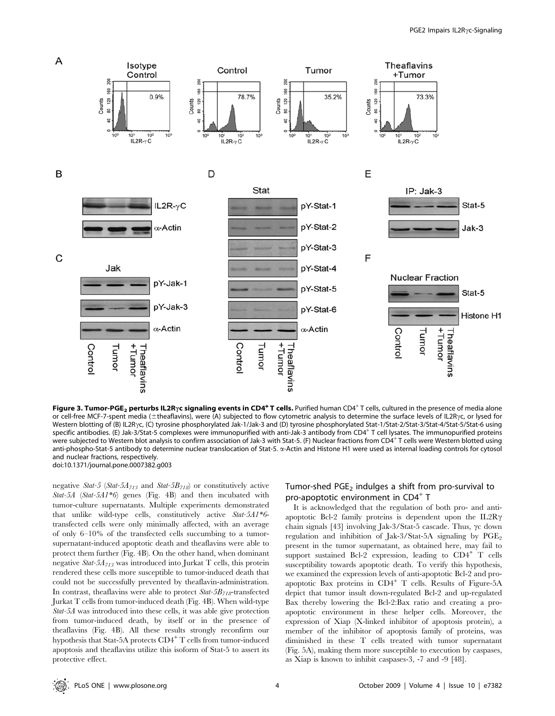

Figure 3. Tumor-PGE<sub>2</sub> perturbs IL2R<sub>Y</sub>c signaling events in CD4<sup>+</sup> T cells. Purified human CD4<sup>+</sup> T cells, cultured in the presence of media alone or cell-free MCF-7-spent media (±theaflavins), were (A) subjected to flow cytometric analysis to determine the surface levels of IL2Rγc, or lysed for Western blotting of (B) IL2Rγc, (C) tyrosine phosphorylated Jak-1/Jak-3 and (D) tyrosine phosphorylated Stat-1/Stat-2/Stat-3/Stat-4/Stat-5/Stat-6 using specific antibodies. (E) Jak-3/Stat-5 complexes were immunopurified with anti-Jak-3 antibody from CD4<sup>+</sup> T cell lysates. The immunopurified proteins were subjected to Western blot analysis to confirm association of Jak-3 with Stat-5. (F) Nuclear fractions from CD4+ T cells were Western blotted using anti-phospho-Stat-5 antibody to determine nuclear translocation of Stat-5.  $\alpha$ -Actin and Histone H1 were used as internal loading controls for cytosol and nuclear fractions, respectively. doi:10.1371/journal.pone.0007382.g003

negative Stat-5 (Stat-5 $A_{713}$  and Stat-5 $B_{718}$ ) or constitutively active Stat-5A (Stat-5A1\*6) genes (Fig. 4B) and then incubated with tumor-culture supernatants. Multiple experiments demonstrated that unlike wild-type cells, constitutively active Stat-5A1\*6 transfected cells were only minimally affected, with an average of only 6–10% of the transfected cells succumbing to a tumorsupernatant-induced apoptotic death and theaflavins were able to protect them further (Fig. 4B). On the other hand, when dominant negative  $Stat-5A_{713}$  was introduced into Jurkat T cells, this protein rendered these cells more susceptible to tumor-induced death that could not be successfully prevented by theaflavin-administration. In contrast, theaflavins were able to protect  $Stat-5B_{718}$ -transfected Jurkat T cells from tumor-induced death (Fig. 4B). When wild-type Stat-5A was introduced into these cells, it was able give protection from tumor-induced death, by itself or in the presence of theaflavins (Fig. 4B). All these results strongly reconfirm our hypothesis that Stat-5A protects CD4<sup>+</sup> T cells from tumor-induced apoptosis and theaflavins utilize this isoform of Stat-5 to assert its protective effect.

## Tumor-shed  $PGE<sub>2</sub>$  indulges a shift from pro-survival to pro-apoptotic environment in CD4<sup>+</sup> T

It is acknowledged that the regulation of both pro- and antiapoptotic Bcl-2 family proteins is dependent upon the IL2R $\gamma$ chain signals [43] involving Jak- $3$ /Stat-5 cascade. Thus,  $\gamma c$  down regulation and inhibition of Jak-3/Stat-5A signaling by  $PGE_2$ present in the tumor supernatant, as obtained here, may fail to support sustained Bcl-2 expression, leading to  $CD4^+$  T cells susceptibility towards apoptotic death. To verify this hypothesis, we examined the expression levels of anti-apoptotic Bcl-2 and proapoptotic Bax proteins in  $CD4^+$  T cells. Results of Figure-5A depict that tumor insult down-regulated Bcl-2 and up-regulated Bax thereby lowering the Bcl-2:Bax ratio and creating a proapoptotic environment in these helper cells. Moreover, the expression of Xiap (X-linked inhibitor of apoptosis protein), a member of the inhibitor of apoptosis family of proteins, was diminished in these T cells treated with tumor supernatant (Fig. 5A), making them more susceptible to execution by caspases, as Xiap is known to inhibit caspases-3, -7 and -9 [48].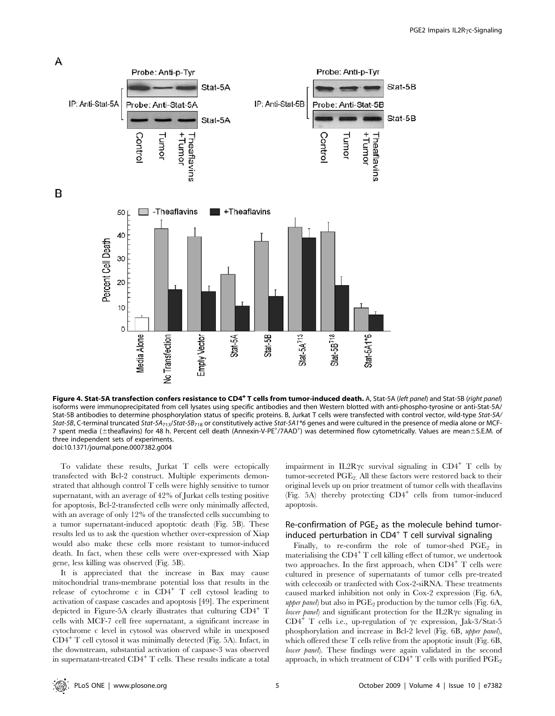

B

Figure 4. Stat-5A transfection confers resistance to CD4<sup>+</sup>T cells from tumor-induced death. A, Stat-5A (left panel) and Stat-5B (right panel) isoforms were immunoprecipitated from cell lysates using specific antibodies and then Western blotted with anti-phospho-tyrosine or anti-Stat-5A/ Stat-5B antibodies to determine phosphorylation status of specific proteins. B, Jurkat T cells were transfected with control vector, wild-type Stat-5A/ Stat-5B, C-terminal truncated Stat-5A<sub>713</sub>/Stat-5B<sub>718</sub> or constitutively active Stat-5A1\*6 genes and were cultured in the presence of media alone or MCF-7 spent media (±theaflavins) for 48 h. Percent cell death (Annexin-V-PE<sup>+</sup>/7AAD<sup>+</sup>) was determined flow cytometrically. Values are mean±S.E.M. of three independent sets of experiments. doi:10.1371/journal.pone.0007382.g004

To validate these results, Jurkat T cells were ectopically transfected with Bcl-2 construct. Multiple experiments demonstrated that although control T cells were highly sensitive to tumor supernatant, with an average of 42% of Jurkat cells testing positive for apoptosis, Bcl-2-transfected cells were only minimally affected, with an average of only 12% of the transfected cells succumbing to a tumor supernatant-induced apoptotic death (Fig. 5B). These results led us to ask the question whether over-expression of Xiap would also make these cells more resistant to tumor-induced death. In fact, when these cells were over-expressed with Xiap gene, less killing was observed (Fig. 5B).

It is appreciated that the increase in Bax may cause mitochondrial trans-membrane potential loss that results in the release of cytochrome c in CD4<sup>+</sup> T cell cytosol leading to activation of caspase cascades and apoptosis [49]. The experiment depicted in Figure-5A clearly illustrates that culturing CD4<sup>+</sup> T cells with MCF-7 cell free supernatant, a significant increase in cytochrome c level in cytosol was observed while in unexposed CD4<sup>+</sup> T cell cytosol it was minimally detected (Fig. 5A). Infact, in the downstream, substantial activation of caspase-3 was observed in supernatant-treated  $CD4^+$  T cells. These results indicate a total impairment in IL2R $\gamma$ c survival signaling in CD4<sup>+</sup> T cells by tumor-secreted  $PGE_2$ . All these factors were restored back to their original levels up on prior treatment of tumor cells with theaflavins (Fig. 5A) thereby protecting CD4<sup>+</sup> cells from tumor-induced apoptosis.

## Re-confirmation of  $PGE<sub>2</sub>$  as the molecule behind tumorinduced perturbation in  $CD4^+$  T cell survival signaling

Finally, to re-confirm the role of tumor-shed  $PGE_2$  in materialising the CD4<sup>+</sup> T cell killing effect of tumor, we undertook two approaches. In the first approach, when  $CD4^+$  T cells were cultured in presence of supernatants of tumor cells pre-treated with celecoxib or tranfected with Cox-2-siRNA. These treatments caused marked inhibition not only in Cox-2 expression (Fig. 6A, *upper panel*) but also in  $PGE_2$  production by the tumor cells (Fig. 6A, *lower panel*) and significant protection for the IL2R $\gamma$ c signaling in CD4<sup>+</sup> T cells i.e., up-regulation of  $\gamma c$  expression, Jak-3/Stat-5 phosphorylation and increase in Bcl-2 level (Fig. 6B, upper panel), which offered these T cells relive from the apoptotic insult (Fig. 6B, lower panel). These findings were again validated in the second approach, in which treatment of  $CD4^+$  T cells with purified  $PGE_2$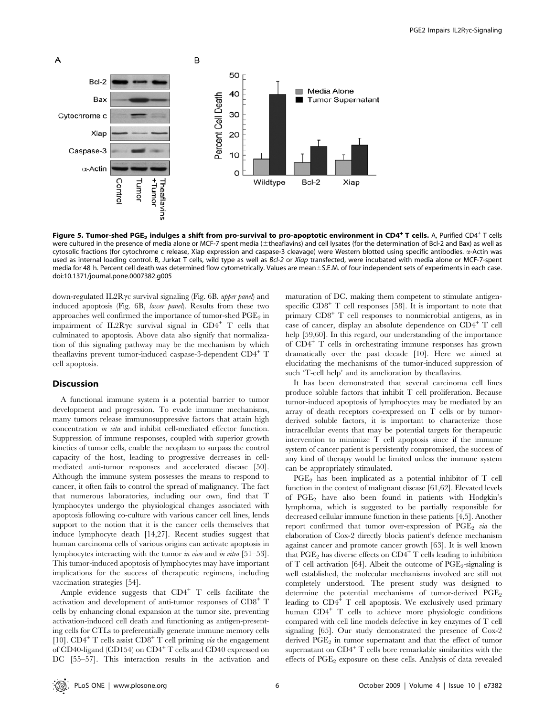

Figure 5. Tumor-shed PGE<sub>2</sub> indulges a shift from pro-survival to pro-apoptotic environment in CD4<sup>+</sup> T cells. A, Purified CD4<sup>+</sup> T cells were cultured in the presence of media alone or MCF-7 spent media (±theaflavins) and cell lysates (for the determination of Bcl-2 and Bax) as well as cytosolic fractions (for cytochrome c release, Xiap expression and caspase-3 cleavage) were Western blotted using specific antibodies.  $\alpha$ -Actin was used as internal loading control. B, Jurkat T cells, wild type as well as Bcl-2 or Xiap transfected, were incubated with media alone or MCF-7-spent media for 48 h. Percent cell death was determined flow cytometrically. Values are mean $\pm$ S.E.M. of four independent sets of experiments in each case. doi:10.1371/journal.pone.0007382.g005

down-regulated IL2R $\gamma$ c survival signaling (Fig. 6B, upper panel) and induced apoptosis (Fig. 6B, lower panel). Results from these two approaches well confirmed the importance of tumor-shed  $\mathrm{PGE}_2$  in impairment of IL2R $\gamma$ c survival signal in CD4<sup>+</sup> T cells that culminated to apoptosis. Above data also signify that normalization of this signaling pathway may be the mechanism by which theaflavins prevent tumor-induced caspase-3-dependent CD4<sup>+</sup> T cell apoptosis.

## **Discussion**

A functional immune system is a potential barrier to tumor development and progression. To evade immune mechanisms, many tumors release immunosuppressive factors that attain high concentration in situ and inhibit cell-mediated effector function. Suppression of immune responses, coupled with superior growth kinetics of tumor cells, enable the neoplasm to surpass the control capacity of the host, leading to progressive decreases in cellmediated anti-tumor responses and accelerated disease [50]. Although the immune system possesses the means to respond to cancer, it often fails to control the spread of malignancy. The fact that numerous laboratories, including our own, find that T lymphocytes undergo the physiological changes associated with apoptosis following co-culture with various cancer cell lines, lends support to the notion that it is the cancer cells themselves that induce lymphocyte death [14,27]. Recent studies suggest that human carcinoma cells of various origins can activate apoptosis in lymphocytes interacting with the tumor in vivo and in vitro [51–53]. This tumor-induced apoptosis of lymphocytes may have important implications for the success of therapeutic regimens, including vaccination strategies [54].

Ample evidence suggests that  $CD4^+$  T cells facilitate the activation and development of anti-tumor responses of CD8<sup>+</sup> T cells by enhancing clonal expansion at the tumor site, preventing activation-induced cell death and functioning as antigen-presenting cells for CTLs to preferentially generate immune memory cells [10].  $CD4^+$  T cells assist  $CD8^+$  T cell priming *via* the engagement of CD40-ligand (CD154) on CD4<sup>+</sup> T cells and CD40 expressed on DC [55–57]. This interaction results in the activation and maturation of DC, making them competent to stimulate antigenspecific CD8<sup>+</sup> T cell responses [58]. It is important to note that primary CD8<sup>+</sup> T cell responses to nonmicrobial antigens, as in case of cancer, display an absolute dependence on CD4<sup>+</sup> T cell help [59,60]. In this regard, our understanding of the importance of CD4<sup>+</sup> T cells in orchestrating immune responses has grown dramatically over the past decade [10]. Here we aimed at elucidating the mechanisms of the tumor-induced suppression of such 'T-cell help' and its amelioration by theaflavins.

It has been demonstrated that several carcinoma cell lines produce soluble factors that inhibit T cell proliferation. Because tumor-induced apoptosis of lymphocytes may be mediated by an array of death receptors co-expressed on T cells or by tumorderived soluble factors, it is important to characterize those intracellular events that may be potential targets for therapeutic intervention to minimize T cell apoptosis since if the immune system of cancer patient is persistently compromised, the success of any kind of therapy would be limited unless the immune system can be appropriately stimulated.

PGE<sup>2</sup> has been implicated as a potential inhibitor of T cell function in the context of malignant disease [61,62]. Elevated levels of PGE<sup>2</sup> have also been found in patients with Hodgkin's lymphoma, which is suggested to be partially responsible for decreased cellular immune function in these patients [4,5]. Another report confirmed that tumor over-expression of  $PGE<sub>2</sub>$  via the elaboration of Cox-2 directly blocks patient's defence mechanism against cancer and promote cancer growth [63]. It is well known that  $PGE_2$  has diverse effects on  $CD4^+$  T cells leading to inhibition of T cell activation [64]. Albeit the outcome of  $PGE_2$ -signaling is well established, the molecular mechanisms involved are still not completely understood. The present study was designed to determine the potential mechanisms of tumor-derived  $PGE_2$ leading to  $CD4^+$  T cell apoptosis. We exclusively used primary human CD4<sup>+</sup> T cells to achieve more physiologic conditions compared with cell line models defective in key enzymes of T cell signaling [65]. Our study demonstrated the presence of Cox-2 derived PGE<sub>2</sub> in tumor supernatant and that the effect of tumor supernatant on  $CD4^+$  T cells bore remarkable similarities with the effects of  $PGE_2$  exposure on these cells. Analysis of data revealed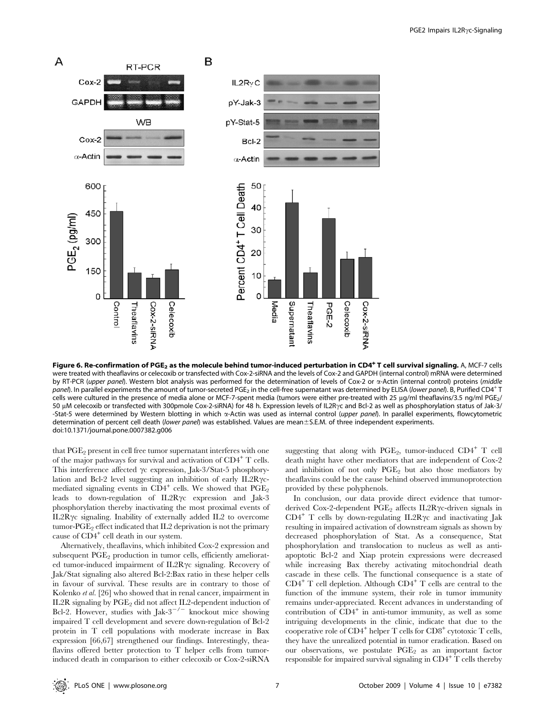

Figure 6. Re-confirmation of PGE<sub>2</sub> as the molecule behind tumor-induced perturbation in CD4<sup>+</sup> T cell survival signaling. A, MCF-7 cells were treated with theaflavins or celecoxib or transfected with Cox-2-siRNA and the levels of Cox-2 and GAPDH (internal control) mRNA were determined by RT-PCR (upper panel). Western blot analysis was performed for the determination of levels of Cox-2 or  $\alpha$ -Actin (internal control) proteins (middle panel). In parallel experiments the amount of tumor-secreted PGE<sub>2</sub> in the cell-free supernatant was determined by ELISA (lower panel). B, Purified CD4<sup>+</sup> T cells were cultured in the presence of media alone or MCF-7-spent media (tumors were either pre-treated with 25  $\mu$ g/ml theaflavins/3.5 ng/ml PGE<sub>2</sub>/ 50 µM celecoxib or transfected with 300pmole Cox-2-siRNA) for 48 h. Expression levels of IL2R<sub>Y</sub>c and Bcl-2 as well as phosphorylation status of Jak-3/ -Stat-5 were determined by Western blotting in which  $\alpha$ -Actin was used as internal control (upper panel). In parallel experiments, flowcytometric determination of percent cell death (lower panel) was established. Values are mean ± S.E.M. of three independent experiments. doi:10.1371/journal.pone.0007382.g006

that  $PGE<sub>2</sub>$  present in cell free tumor supernatant interferes with one of the major pathways for survival and activation of  $CD4^+$  T cells. This interference affected  $\gamma c$  expression, Jak-3/Stat-5 phosphorylation and Bcl-2 level suggesting an inhibition of early IL2R $\gamma$ cmediated signaling events in  $CD4^+$  cells. We showed that  $PGE_2$ leads to down-regulation of  $IL2R\gamma c$  expression and Jak-3 phosphorylation thereby inactivating the most proximal events of IL2R $\gamma$ c signaling. Inability of externally added IL2 to overcome tumor-PGE<sub>2</sub> effect indicated that IL2 deprivation is not the primary cause of CD4<sup>+</sup> cell death in our system.

Alternatively, theaflavins, which inhibited Cox-2 expression and subsequent  $PGE_2$  production in tumor cells, efficiently ameliorated tumor-induced impairment of  $IL2R\gamma c$  signaling. Recovery of Jak/Stat signaling also altered Bcl-2:Bax ratio in these helper cells in favour of survival. These results are in contrary to those of Kolenko et al. [26] who showed that in renal cancer, impairment in IL2R signaling by  $PGE_2$  did not affect IL2-dependent induction of Bcl-2. However, studies with  $\int a k^{-3}$   $\int$  knockout mice showing impaired T cell development and severe down-regulation of Bcl-2 protein in T cell populations with moderate increase in Bax expression [66,67] strengthened our findings. Interestingly, theaflavins offered better protection to T helper cells from tumorinduced death in comparison to either celecoxib or Cox-2-siRNA

suggesting that along with  $PGE_2$ , tumor-induced  $CD4^+$  T cell death might have other mediators that are independent of Cox-2 and inhibition of not only  $PGE_2$  but also those mediators by theaflavins could be the cause behind observed immunoprotection provided by these polyphenols.

In conclusion, our data provide direct evidence that tumorderived Cox-2-dependent  $PGE_2$  affects IL2R $\gamma$ c-driven signals in  $CD4^+$  T cells by down-regulating IL2R $\gamma$ c and inactivating Jak resulting in impaired activation of downstream signals as shown by decreased phosphorylation of Stat. As a consequence, Stat phosphorylation and translocation to nucleus as well as antiapoptotic Bcl-2 and Xiap protein expressions were decreased while increasing Bax thereby activating mitochondrial death cascade in these cells. The functional consequence is a state of  $CD4^+$  T cell depletion. Although  $CD4^+$  T cells are central to the function of the immune system, their role in tumor immunity remains under-appreciated. Recent advances in understanding of contribution of  $\overline{CD4}^+$  in anti-tumor immunity, as well as some intriguing developments in the clinic, indicate that due to the cooperative role of CD4<sup>+</sup> helper T cells for CD8<sup>+</sup> cytotoxic T cells, they have the unrealized potential in tumor eradication. Based on our observations, we postulate  $PGE_2$  as an important factor responsible for impaired survival signaling in  $CD4^+$  T cells thereby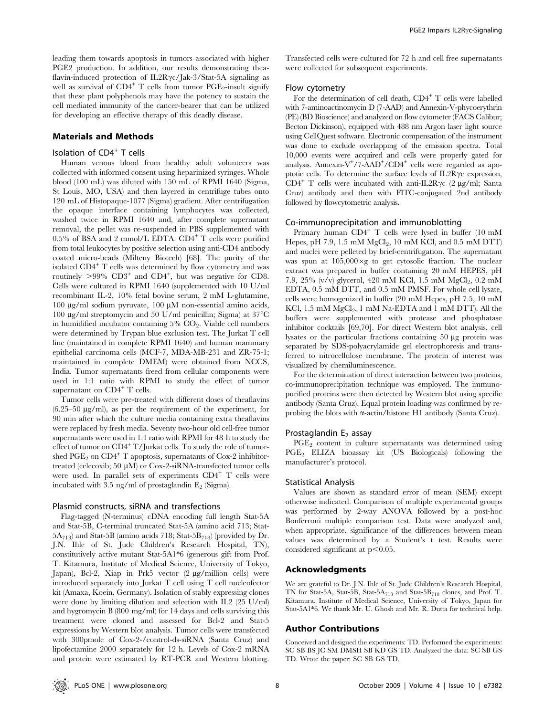leading them towards apoptosis in tumors associated with higher PGE2 production. In addition, our results demonstrating theaflavin-induced protection of IL2R $\gamma$ c/Jak-3/Stat-5A signaling as well as survival of  $CD4^+$  T cells from tumor  $PGE_2$ -insult signify that these plant polyphenols may have the potency to sustain the cell mediated immunity of the cancer-bearer that can be utilized for developing an effective therapy of this deadly disease.

## Materials and Methods

## Isolation of CD4<sup>+</sup> T cells

Human venous blood from healthy adult volunteers was collected with informed consent using heparinized syringes. Whole blood (100 mL) was diluted with 150 mL of RPMI 1640 (Sigma, St Louis, MO, USA) and then layered in centrifuge tubes onto 120 mL of Histopaque-1077 (Sigma) gradient. After centrifugation the opaque interface containing lymphocytes was collected, washed twice in RPMI 1640 and, after complete supernatant removal, the pellet was re-suspended in PBS supplemented with  $0.5\%$  of BSA and 2 mmol/L EDTA. CD4<sup>+</sup> T cells were purified from total leukocytes by positive selection using anti-CD4 antibody coated micro-beads (Milteny Biotech) [68]. The purity of the isolated CD4<sup>+</sup> T cells was determined by flow cytometry and was routinely  $>99\%$  CD3<sup>+</sup> and CD4<sup>+</sup>, but was negative for CD8. Cells were cultured in RPMI 1640 (supplemented with 10 U/ml recombinant IL-2, 10% fetal bovine serum, 2 mM L-glutamine, 100  $\mu$ g/ml sodium pyruvate, 100  $\mu$ M non-essential amino acids, 100  $\mu$ g/ml streptomycin and 50 U/ml penicillin; Sigma) at 37 $\mathrm{^{\circ}C}$ in humidified incubator containing  $5\%$   $CO<sub>2</sub>$ . Viable cell numbers were determined by Trypan blue exclusion test. The Jurkat T cell line (maintained in complete RPMI 1640) and human mammary epithelial carcinoma cells (MCF-7, MDA-MB-231 and ZR-75-1; maintained in complete DMEM) were obtained from NCCS, India. Tumor supernatants freed from cellular components were used in 1:1 ratio with RPMI to study the effect of tumor supernatant on CD4<sup>+</sup> T cells.

Tumor cells were pre-treated with different doses of theaflavins  $(6.25-50 \text{ µg/ml})$ , as per the requirement of the experiment, for 90 min after which the culture media containing extra theaflavins were replaced by fresh media. Seventy two-hour old cell-free tumor supernatants were used in 1:1 ratio with RPMI for 48 h to study the effect of tumor on CD4<sup>+</sup> T/Jurkat cells. To study the role of tumorshed  $\mathrm{PGE}_2$  on  $\mathrm{CD4}^+$  T apoptosis, supernatants of Cox-2 inhibitortreated (celecoxib; 50  $\mu$ M) or Cox-2-siRNA-transfected tumor cells were used. In parallel sets of experiments  $CD4^+$  T cells were incubated with 3.5 ng/ml of prostaglandin  $E_2$  (Sigma).

### Plasmid constructs, siRNA and transfections

Flag-tagged (N-terminus) cDNA encoding full length Stat-5A and Stat-5B, C-terminal truncated Stat-5A (amino acid 713; Stat- $5A_{713}$ ) and Stat-5B (amino acids 718; Stat-5B<sub>718</sub>) (provided by Dr. J.N. Ihle of St. Jude Children's Research Hospital, TN), constitutively active mutant Stat-5A1\*6 (generous gift from Prof. T. Kitamura, Institute of Medical Science, University of Tokyo, Japan), Bcl-2, Xiap in Prk5 vector (2 µg/million cells) were introduced separately into Jurkat T cell using T cell nucleofector kit (Amaxa, Koein, Germany). Isolation of stably expressing clones were done by limiting dilution and selection with IL2 (25 U/ml) and hygromycin B (800 mg/ml) for 14 days and cells surviving this treatment were cloned and assessed for Bcl-2 and Stat-5 expressions by Western blot analysis. Tumor cells were transfected with 300pmole of Cox-2-/control-ds-siRNA (Santa Cruz) and lipofectamine 2000 separately for 12 h. Levels of Cox-2 mRNA and protein were estimated by RT-PCR and Western blotting.

Transfected cells were cultured for 72 h and cell free supernatants were collected for subsequent experiments.

#### Flow cytometry

For the determination of cell death,  $CD4^+$  T cells were labelled with 7-aminoactinomycin D (7-AAD) and Annexin-V-phycoerythrin (PE) (BD Bioscience) and analyzed on flow cytometer (FACS Calibur; Becton Dickinson), equipped with 488 nm Argon laser light source using CellQuest software. Electronic compensation of the instrument was done to exclude overlapping of the emission spectra. Total 10,000 events were acquired and cells were properly gated for analysis. Annexin-V<sup>+</sup>/7-AAD<sup>+</sup>/CD4<sup>+</sup> cells were regarded as apoptotic cells. To determine the surface levels of  $IL2R\gamma c$  expression,  $CD4^+$  T cells were incubated with anti-IL2R $\gamma$ c (2 µg/ml; Santa Cruz) antibody and then with FITC-conjugated 2nd antibody followed by flowcytometric analysis.

#### Co-immunoprecipitation and immunoblotting

Primary human CD4<sup>+</sup> T cells were lysed in buffer (10 mM Hepes, pH 7.9, 1.5 mM  $MgCl<sub>2</sub>$ , 10 mM KCl, and 0.5 mM DTT) and nuclei were pelleted by brief-centrifugation. The supernatant was spun at  $105,000 \times g$  to get cytosolic fraction. The nuclear extract was prepared in buffer containing 20 mM HEPES, pH 7.9, 25% (v/v) glycerol, 420 mM KCl, 1.5 mM MgCl<sub>2</sub>, 0.2 mM EDTA, 0.5 mM DTT, and 0.5 mM PMSF. For whole cell lysate, cells were homogenized in buffer (20 mM Hepes, pH 7.5, 10 mM KCl,  $1.5 \text{ mM MgCl}_2$ ,  $1 \text{ mM Na-EDTA}$  and  $1 \text{ mM DTT}$ . All the buffers were supplemented with protease and phosphatase inhibitor cocktails [69,70]. For direct Western blot analysis, cell lysates or the particular fractions containing 50 µg protein was separated by SDS-polyacrylamide gel electrophoresis and transferred to nitrocellulose membrane. The protein of interest was visualized by chemiluminescence.

For the determination of direct interaction between two proteins, co-immunoprecipitation technique was employed. The immunopurified proteins were then detected by Western blot using specific antibody (Santa Cruz). Equal protein loading was confirmed by reprobing the blots with  $\alpha$ -actin/histone H1 antibody (Santa Cruz).

### Prostaglandin  $E<sub>2</sub>$  assay

 $PGE<sub>2</sub>$  content in culture supernatants was determined using PGE<sup>2</sup> ELIZA bioassay kit (US Biologicals) following the manufacturer's protocol.

## Statistical Analysis

Values are shown as standard error of mean (SEM) except otherwise indicated. Comparison of multiple experimental groups was performed by 2-way ANOVA followed by a post-hoc Bonferroni multiple comparison test. Data were analyzed and, when appropriate, significance of the differences between mean values was determined by a Student's t test. Results were considered significant at  $p<0.05$ .

## Acknowledgments

We are grateful to Dr. J.N. Ihle of St. Jude Children's Research Hospital, TN for Stat-5A, Stat-5B, Stat-5A<sup>713</sup> and Stat-5B<sup>718</sup> clones, and Prof. T. Kitamura, Institute of Medical Science, University of Tokyo, Japan for Stat-5A1\*6. We thank Mr. U. Ghosh and Mr. R. Dutta for technical help.

### Author Contributions

Conceived and designed the experiments: TD. Performed the experiments: SC SB BS JC SM DMSH SB KD GS TD. Analyzed the data: SC SB GS TD. Wrote the paper: SC SB GS TD.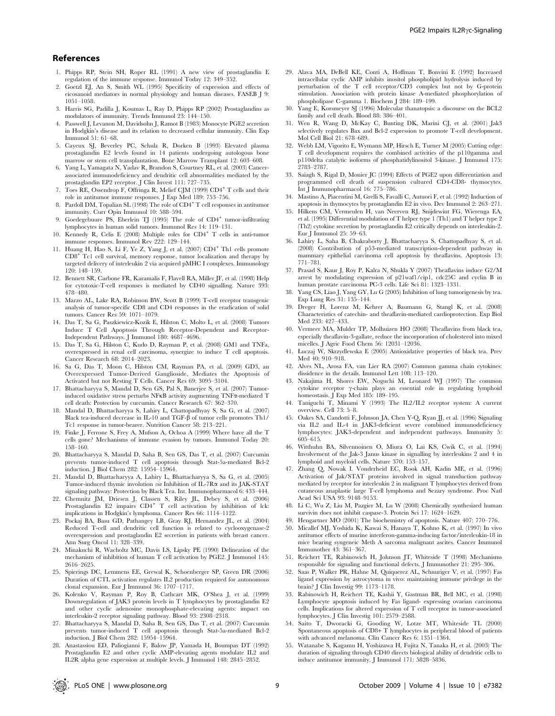#### References

- 1. Phipps RP, Stein SH, Roper RL (1991) A new view of prostaglandin E regulation of the immune response. Immunol Today 12: 349–352.
- 2. Goetzl EJ, An S, Smith WL (1995) Specificity of expression and effects of eicosanoid mediators in normal physiology and human diseases. FASEB J 9: 1051–1058.
- 3. Harris SG, Padilla J, Koumas L, Ray D, Phipps RP (2002) Prostaglandins as modulators of immunity. Trends Immunol 23: 144–150.
- Passwell J, Levanon M, Davidsohn J, Ramot B (1983) Monocyte PGE2 secretion in Hodgkin's disease and its relation to decreased cellular immunity. Clin Exp Immunol 51: 61–68.
- 5. Cayeux SJ, Beverley PC, Schulz R, Dorken B (1993) Elevated plasma prostaglandin E2 levels found in 14 patients undergoing autologous bone marrow or stem cell transplantation. Bone Marrow Transplant 12: 603-608.
- 6. Yang L, Yamagata N, Yadav R, Brandon S, Courtney RL, et al. (2003) Cancerassociated immunodeficiency and dendritic cell abnormalities mediated by the prostaglandin EP2 receptor. J Clin Invest 111: 727–735.
- 7. Toes RE, Ossendrop F, Offringa R, Melief CJM (1999) CD4<sup>+</sup> T cells and their role in antitumor immune responses. J Exp Med 189: 753–756.
- 8. Pardoll DM, Topalian SL (1998) The role of CD4<sup>+</sup> T cell responses in antitumor immunity. Curr Opin Immunol 10: 588–594.
- 9. Goedegebuure PS, Eberlein TJ (1995) The role of CD4<sup>+</sup> tumor-infiltrating lymphocytes in human solid tumors. Immunol Res 14: 119–131.
- 10. Kennedy R, Celis E (2008) Multiple roles for CD4<sup>+</sup> T cells in anti-tumor immune responses. Immunol Rev 222: 129–144.
- 11. Huang H, Hao S, Li F, Ye Z, Yang J, et al. (2007) CD4<sup>+</sup> Th1 cells promote CD8<sup>+</sup> Tc1 cell survival, memory response, tumor localization and therapy by targeted delivery of interleukin 2 via acquired pMHC I complexes. Immunology 120: 148–159.
- 12. Bennett SR, Carbone FR, Karamalis F, Flavell RA, Miller JF, et al. (1998) Help for cytotoxic-T-cell responses is mediated by CD40 signalling. Nature 393: 478–480.
- 13. Marzo AL, Lake RA, Robinson BW, Scott B (1999) T-cell receptor transgenic analysis of tumor-specific CD8 and CD4 responses in the eradication of solid tumors. Cancer Res 59: 1071–1079.
- 14. Das T, Sa G, Paszkiewicz-Kozik E, Hilston C, Molto L, et al. (2008) Tumors Induce T Cell Apoptosis Through Receptor-Dependent and Receptor-Independent Pathways. J Immunol 180: 4687–4696.
- 15. Das T, Sa G, Hilston C, Kudo D, Rayman P, et al. (2008) GM1 and TNFa, overexpressed in renal cell carcinoma, synergize to induce T cell apoptosis. Cancer Research 68: 2014–2023.
- 16. Sa G, Das T, Moon C, Hilston CM, Rayman PA, et al. (2009) GD3, an Overexpressed Tumor-Derived Ganglioside, Mediates the Apoptosis of Activated but not Resting T Cells. Cancer Res 69: 3095–3104.
- 17. Bhattacharyya S, Mandal D, Sen GS, Pal S, Banerjee S, et al. (2007) Tumorinduced oxidative stress perturbs NFkB activity augmenting TNFa-mediated T cell death: Protection by curcumin. Cancer Research 67: 362–370.
- 18. Mandal D, Bhattacharyya S, Lahiry L, Chattopadhyay S, Sa G, et al. (2007) Black tea-induced decrease in IL-10 and TGF- $\beta$  of tumor cells promotes Th1/ Tc1 response in tumor-bearer. Nutrition Cancer 58: 213–221.
- 19. Finke J, Ferrone S, Frey A, Mufson A, Ochoa A (1999) Where have all the T cells gone? Mechanisms of immune evasion by tumors. Immunol Today 20: 158–160.
- 20. Bhattacharyya S, Mandal D, Saha B, Sen GS, Das T, et al. (2007) Curcumin prevents tumor-induced T cell apoptosis through Stat-5a-mediated Bcl-2 induction. J Biol Chem 282: 15954–15964.
- 21. Mandal D, Bhattacharyya A, Lahiry L, Bhattacharyya S, Sa G, et al. (2005) Tumor-induced thymic involution via Inhibition of IL-7R $\alpha$  and its JAK-STAT signaling pathway: Protection by Black Tea. Int. Immunopharmacol 6: 433–444.
- 22. Chemnitz JM, Driesen J, Classen S, Riley JL, Debey S, et al. (2006) Prostaglandin E2 impairs  $CD4^+$  T cell activation by inhibition of lck: implications in Hodgkin's lymphoma. Cancer Res 66: 1114–1122.
- 23. Pockaj BA, Basu GD, Pathangey LB, Gray RJ, Hernandez JL, et al. (2004) Reduced T-cell and dendritic cell function is related to cyclooxygenase-2 overexpression and prostaglandin E2 secretion in patients with breast cancer. Ann Surg Oncol 11: 328–339.
- 24. Minakuchi R, Wacholtz MC, Davis LS, Lipsky PE (1990) Delineation of the mechanism of inhibition of human T cell activation by PGE2. J Immunol 145: 2616–2625.
- 25. Spierings DC, Lemmens EE, Grewal K, Schoenberger SP, Green DR (2006) Duration of CTL activation regulates IL2 production required for autonomous clonal expansion. Eur J Immunol 36: 1707–1717.
- 26. Kolenko V, Rayman P, Roy B, Cathcart MK, O'Shea J, et al. (1999) Downregulation of JAK3 protein levels in T lymphocytes by prostaglandin E2 and other cyclic adenosine monophosphate-elevating agents: impact on interleukin-2 receptor signaling pathway. Blood 93: 2308–2318.
- 27. Bhattacharyya S, Mandal D, Saha B, Sen GS, Das T, et al. (2007) Curcumin prevents tumor-induced T cell apoptosis through Stat-5a-mediated Bcl-2 induction. J Biol Chem 282: 15954–15964.
- 28. Anastassiou ED, Paliogianni F, Balow JP, Yamada H, Boumpas DT (1992) Prostaglandin E2 and other cyclic AMP-elevating agents modulate IL2 and IL2R alpha gene expression at multiple levels. J Immunol 148: 2845–2852.
- 29. Alava MA, DeBell KE, Conti A, Hoffman T, Bonvini E (1992) Increased intracellular cyclic AMP inhibits inositol phospholipid hydrolysis induced by perturbation of the T cell receptor/CD3 complex but not by G-protein stimulation. Association with protein kinase A-mediated phosphorylation of phospholipase C-gamma 1. Biochem J 284: 189–199.
- 30. Yang E, Korsmeyer SJ (1996) Molecular thanatopsis: a discourse on the BCL2 family and cell death. Blood 88: 386–401.
- 31. Wen R, Wang D, McKay C, Bunting DK, Marini CJ, et al. (2001) Jak3 selectively regulates Bax and Bcl-2 expression to promote T-cell development. Mol Cell Biol 21: 678–689.
- 32. Webb LM, Vigorito E, Wymann MP, Hirsch E, Turner M (2005) Cutting edge: T cell development requires the combined activities of the p110gamma and p110delta catalytic isoforms of phosphatidylinositol 3-kinase. J Immunol 175: 2783–2787.
- 33. Saiagh S, Rigal D, Monier JC (1994) Effects of PGE2 upon differentiation and programmed cell death of suspension cultured CD4-CD8- thymocytes. Int J Immunopharmacol 16: 775–786.
- 34. Mastino A, Piacentini M, Grelli S, Favalli C, Autuori F, et al. (1992) Induction of apoptosis in thymocytes by prostaglandin E2 in vivo. Dev Immunol 2: 263–271.
- 35. Hilkens CM, Vermeulen H, van Neerven RJ, Snijdewint FG, Wierenga EA, et al. (1995) Differential modulation of T helper type 1 (Th1) and T helper type 2 (Th2) cytokine secretion by prostaglandin E2 critically depends on interleukin-2. Eur J Immunol 25: 59–63.
- 36. Lahiry L, Saha B, Chakraborty J, Bhattacharyya S, Chattopadhyay S, et al. (2008) Contribution of p53-mediated transcription-dependent pathway in mammary epithelial carcinoma cell apoptosis by theaflavins. Apoptosis 13: 771–781.
- 37. Prasad S, Kaur J, Roy P, Kalra N, Shukla Y (2007) Theaflavins induce G2/M arrest by modulating expression of p21waf1/cip1, cdc25C and cyclin B in human prostate carcinoma PC-3 cells. Life Sci 81: 1323–1331.
- 38. Yang CS, Liao J, Yang GY, Lu G (2005) Inhibition of lung tumorigenesis by tea. Exp Lung Res 31: 135–144.
- 39. Dreger H, Lorenz M, Kehrer A, Baumann G, Stangl K, et al. (2008) Characteristics of catechin- and theaflavin-mediated cardioprotection. Exp Biol Med 233: 427–433.
- 40. Vermeer MA, Mulder TP, Molhuizen HO (2008) Theaflavins from black tea, especially theaflavin-3-gallate, reduce the incorporation of cholesterol into mixed micelles. J Agric Food Chem 56: 12031–12036.
- 41. Łuczaj W, Skrzydlewska E (2005) Antioxidative properties of black tea. Prev Med 40: 910–918.
- 42. Alves NL, Arosa FA, van Lier RA (2007) Common gamma chain cytokines: dissidence in the details. Immunol Lett 108: 113–120.
- 43. Nakajima H, Shores EW, Noguchi M, Leonard WJ (1997) The common cytokine receptor  $\gamma$ -chain plays an essential role in regulating lymphoid homeostasis. J Exp Med 185: 189-195.
- 44. Taniguchi T, Minami Y (1993) The IL2/IL2 receptor system: A current overview. Cell 73: 5–8.
- 45. Oakes SA, Candotti F, Johnson JA, Chen Y-Q, Ryan JJ, et al. (1996) Signaling via IL2 and IL-4 in JAK3-deficient severe combined immunodeficiency lymphocytes: JAK3-dependent and independent pathways. Immunity 5: 605–615.
- 46. Witthuhn BA, Silvennoinen O, Miura O, Lai KS, Cwik C, et al. (1994) Involvement of the Jak-3 Janus kinase in signalling by interleukins 2 and 4 in lymphoid and myeloid cells. Nature 370: 153–157.
- 47. Zhang Q, Nowak I. Vonderheid EC, Rook AH, Kadin ME, et al. (1996) Activation of Jak/STAT proteins involved in signal transduction pathway mediated by receptor for interleukin 2 in malignant T lymphocytes derived from cutaneous anaplastic large T-cell lymphoma and Sezary syndrome. Proc Natl Acad Sci USA 93: 9148–9153.
- 48. Li C, Wu Z, Liu M, Pazgier M, Lu W (2008) Chemically synthesized human survivin does not inhibit caspase-3. Protein Sci 17: 1624–1629.
- 49. Hengartner MO (2001) The biochemistry of apoptosis. Nature 407: 770–776.
- 50. Micallef MJ, Yoshida K, Kawai S, Hanaya T, Kohno K, et al. (1997) In vivo antitumor effects of murine interferon-gamma-inducing factor/interleukin-18 in mice bearing syngeneic Meth A sarcoma malignant ascites. Cancer Immunol Immunother 43: 361–367.
- 51. Reichert TE, Rabinowich H, Johnson JT, Whiteside T (1998) Mechanisms responsible for signaling and functional defects. J Immunother 21: 295–306.
- 52. Saas P, Walker PR, Hahne M, Quiquerez AL, Schnuriger V, et al. (1997) Fas ligand expression by astrocytoma in vivo: maintaining immune privilege in the brain? J Clin Investig 99: 1173–1178.
- 53. Rabinowich H, Reichert TE, Kashii Y, Gastman BR, Bell MC, et al. (1998) Lymphocyte apoptosis induced by Fas ligand- expressing ovarian carcinoma cells. Implications for altered expression of T cell receptor in tumor-associated lymphocytes. J Clin Investig 101: 2579–2588.
- 54. Saito T, Dworacki G, Gooding W, Lotze MT, Whiteside TL (2000) Spontaneous apoptosis of CD8+ T lymphocytes in peripheral blood of patients with advanced melanoma. Clin Cancer Res 6: 1351–1364.
- 55. Watanabe S, Kagamu H, Yoshizawa H, Fujita N, Tanaka H, et al. (2003) The duration of signaling through CD40 directs biological ability of dendritic cells to induce antitumor immunity. J Immunol 171: 5828–5836.